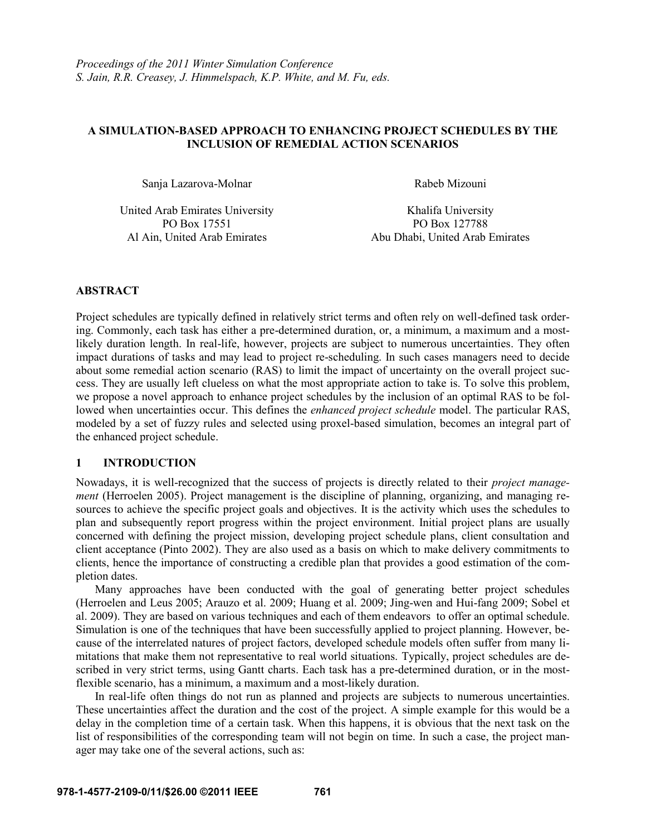# **A SIMULATION-BASED APPROACH TO ENHANCING PROJECT SCHEDULES BY THE INCLUSION OF REMEDIAL ACTION SCENARIOS**

Sanja Lazarova-Molnar Rabeb Mizouni

United Arab Emirates University Khalifa University

PO Box 17551 PO Box 127788 Al Ain, United Arab Emirates Abu Dhabi, United Arab Emirates

# **ABSTRACT**

Project schedules are typically defined in relatively strict terms and often rely on well-defined task ordering. Commonly, each task has either a pre-determined duration, or, a minimum, a maximum and a mostlikely duration length. In real-life, however, projects are subject to numerous uncertainties. They often impact durations of tasks and may lead to project re-scheduling. In such cases managers need to decide about some remedial action scenario (RAS) to limit the impact of uncertainty on the overall project success. They are usually left clueless on what the most appropriate action to take is. To solve this problem, we propose a novel approach to enhance project schedules by the inclusion of an optimal RAS to be followed when uncertainties occur. This defines the *enhanced project schedule* model. The particular RAS, modeled by a set of fuzzy rules and selected using proxel-based simulation, becomes an integral part of the enhanced project schedule.

# **1 INTRODUCTION**

Nowadays, it is well-recognized that the success of projects is directly related to their *project management* (Herroelen 2005). Project management is the discipline of planning, organizing, and managing resources to achieve the specific project goals and objectives. It is the activity which uses the schedules to plan and subsequently report progress within the project environment. Initial project plans are usually concerned with defining the project mission, developing project schedule plans, client consultation and client acceptance (Pinto 2002). They are also used as a basis on which to make delivery commitments to clients, hence the importance of constructing a credible plan that provides a good estimation of the completion dates.

Many approaches have been conducted with the goal of generating better project schedules (Herroelen and Leus 2005; Arauzo et al. 2009; Huang et al. 2009; Jing-wen and Hui-fang 2009; Sobel et al. 2009). They are based on various techniques and each of them endeavors to offer an optimal schedule. Simulation is one of the techniques that have been successfully applied to project planning. However, because of the interrelated natures of project factors, developed schedule models often suffer from many limitations that make them not representative to real world situations. Typically, project schedules are described in very strict terms, using Gantt charts. Each task has a pre-determined duration, or in the mostflexible scenario, has a minimum, a maximum and a most-likely duration.

In real-life often things do not run as planned and projects are subjects to numerous uncertainties. These uncertainties affect the duration and the cost of the project. A simple example for this would be a delay in the completion time of a certain task. When this happens, it is obvious that the next task on the list of responsibilities of the corresponding team will not begin on time. In such a case, the project manager may take one of the several actions, such as: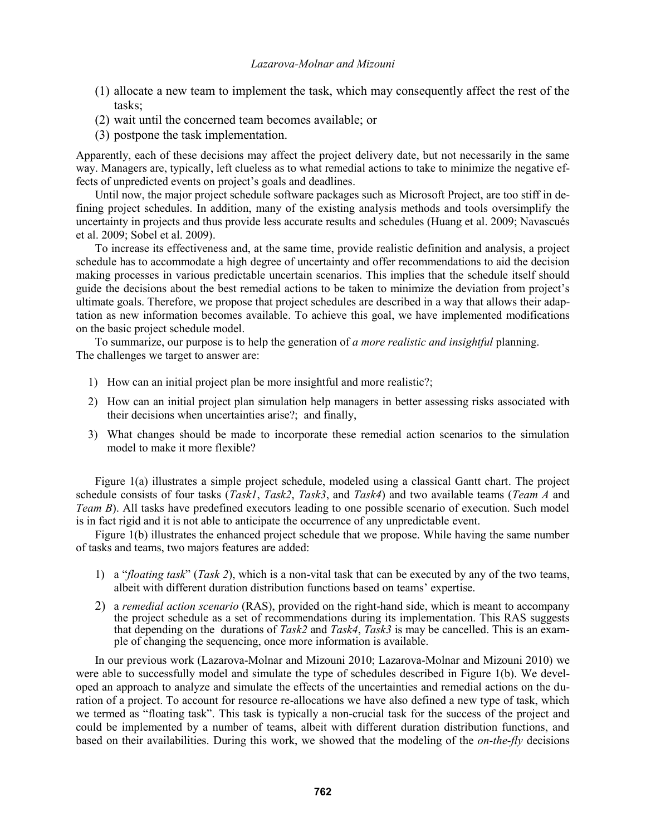- (1) allocate a new team to implement the task, which may consequently affect the rest of the tasks;
- (2) wait until the concerned team becomes available; or
- (3) postpone the task implementation.

Apparently, each of these decisions may affect the project delivery date, but not necessarily in the same way. Managers are, typically, left clueless as to what remedial actions to take to minimize the negative effects of unpredicted events on project's goals and deadlines.

Until now, the major project schedule software packages such as Microsoft Project, are too stiff in defining project schedules. In addition, many of the existing analysis methods and tools oversimplify the uncertainty in projects and thus provide less accurate results and schedules (Huang et al. 2009; Navascués et al. 2009; Sobel et al. 2009).

To increase its effectiveness and, at the same time, provide realistic definition and analysis, a project schedule has to accommodate a high degree of uncertainty and offer recommendations to aid the decision making processes in various predictable uncertain scenarios. This implies that the schedule itself should guide the decisions about the best remedial actions to be taken to minimize the deviation from project"s ultimate goals. Therefore, we propose that project schedules are described in a way that allows their adaptation as new information becomes available. To achieve this goal, we have implemented modifications on the basic project schedule model.

To summarize, our purpose is to help the generation of *a more realistic and insightful* planning. The challenges we target to answer are:

- 1) How can an initial project plan be more insightful and more realistic?;
- 2) How can an initial project plan simulation help managers in better assessing risks associated with their decisions when uncertainties arise?; and finally,
- 3) What changes should be made to incorporate these remedial action scenarios to the simulation model to make it more flexible?

Figure 1(a) illustrates a simple project schedule, modeled using a classical Gantt chart. The project schedule consists of four tasks (*Task1*, *Task2*, *Task3*, and *Task4*) and two available teams (*Team A* and *Team B*). All tasks have predefined executors leading to one possible scenario of execution. Such model is in fact rigid and it is not able to anticipate the occurrence of any unpredictable event.

Figure 1(b) illustrates the enhanced project schedule that we propose. While having the same number of tasks and teams, two majors features are added:

- 1) a "*floating task*" (*Task 2*), which is a non-vital task that can be executed by any of the two teams, albeit with different duration distribution functions based on teams" expertise.
- 2) a *remedial action scenario* (RAS), provided on the right-hand side, which is meant to accompany the project schedule as a set of recommendations during its implementation. This RAS suggests that depending on the durations of *Task2* and *Task4*, *Task3* is may be cancelled. This is an example of changing the sequencing, once more information is available.

In our previous work (Lazarova-Molnar and Mizouni 2010; Lazarova-Molnar and Mizouni 2010) we were able to successfully model and simulate the type of schedules described in Figure 1(b). We developed an approach to analyze and simulate the effects of the uncertainties and remedial actions on the duration of a project. To account for resource re-allocations we have also defined a new type of task, which we termed as "floating task". This task is typically a non-crucial task for the success of the project and could be implemented by a number of teams, albeit with different duration distribution functions, and based on their availabilities. During this work, we showed that the modeling of the *on-the-fly* decisions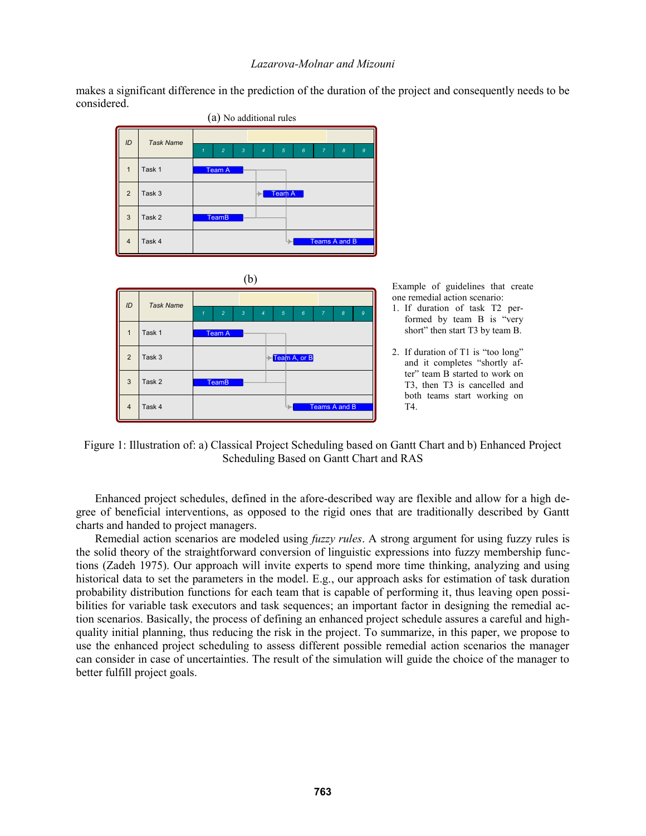makes a significant difference in the prediction of the duration of the project and consequently needs to be considered.



Figure 1: Illustration of: a) Classical Project Scheduling based on Gantt Chart and b) Enhanced Project Scheduling Based on Gantt Chart and RAS

Enhanced project schedules, defined in the afore-described way are flexible and allow for a high degree of beneficial interventions, as opposed to the rigid ones that are traditionally described by Gantt charts and handed to project managers.

Remedial action scenarios are modeled using *fuzzy rules*. A strong argument for using fuzzy rules is the solid theory of the straightforward conversion of linguistic expressions into fuzzy membership functions (Zadeh 1975). Our approach will invite experts to spend more time thinking, analyzing and using historical data to set the parameters in the model. E.g., our approach asks for estimation of task duration probability distribution functions for each team that is capable of performing it, thus leaving open possibilities for variable task executors and task sequences; an important factor in designing the remedial action scenarios. Basically, the process of defining an enhanced project schedule assures a careful and highquality initial planning, thus reducing the risk in the project. To summarize, in this paper, we propose to use the enhanced project scheduling to assess different possible remedial action scenarios the manager can consider in case of uncertainties. The result of the simulation will guide the choice of the manager to better fulfill project goals.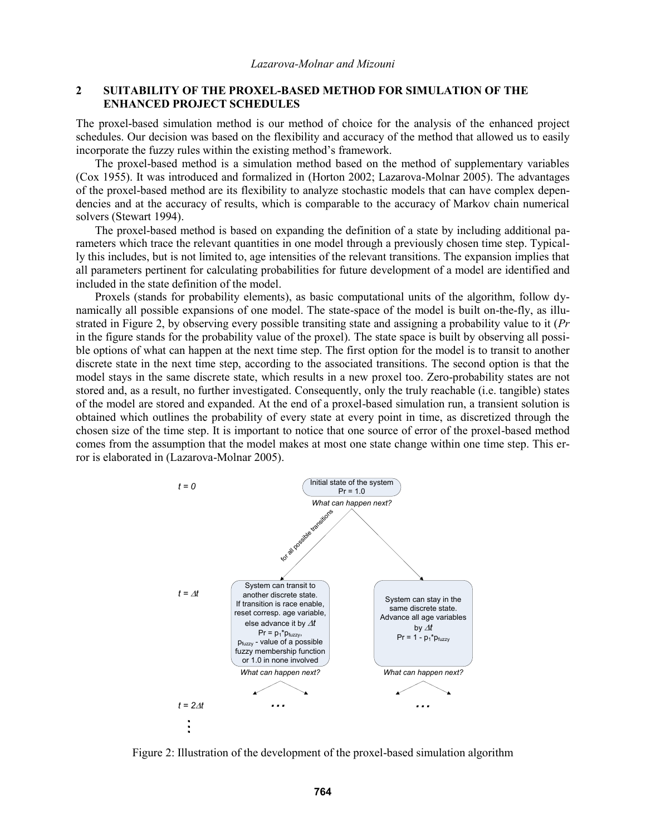## **2 SUITABILITY OF THE PROXEL-BASED METHOD FOR SIMULATION OF THE ENHANCED PROJECT SCHEDULES**

The proxel-based simulation method is our method of choice for the analysis of the enhanced project schedules. Our decision was based on the flexibility and accuracy of the method that allowed us to easily incorporate the fuzzy rules within the existing method"s framework.

The proxel-based method is a simulation method based on the method of supplementary variables (Cox 1955). It was introduced and formalized in (Horton 2002; Lazarova-Molnar 2005). The advantages of the proxel-based method are its flexibility to analyze stochastic models that can have complex dependencies and at the accuracy of results, which is comparable to the accuracy of Markov chain numerical solvers (Stewart 1994).

The proxel-based method is based on expanding the definition of a state by including additional parameters which trace the relevant quantities in one model through a previously chosen time step. Typically this includes, but is not limited to, age intensities of the relevant transitions. The expansion implies that all parameters pertinent for calculating probabilities for future development of a model are identified and included in the state definition of the model.

Proxels (stands for probability elements), as basic computational units of the algorithm, follow dynamically all possible expansions of one model. The state-space of the model is built on-the-fly, as illustrated in Figure 2, by observing every possible transiting state and assigning a probability value to it (*Pr* in the figure stands for the probability value of the proxel). The state space is built by observing all possible options of what can happen at the next time step. The first option for the model is to transit to another discrete state in the next time step, according to the associated transitions. The second option is that the model stays in the same discrete state, which results in a new proxel too. Zero-probability states are not stored and, as a result, no further investigated. Consequently, only the truly reachable (i.e. tangible) states of the model are stored and expanded. At the end of a proxel-based simulation run, a transient solution is obtained which outlines the probability of every state at every point in time, as discretized through the chosen size of the time step. It is important to notice that one source of error of the proxel-based method comes from the assumption that the model makes at most one state change within one time step. This error is elaborated in (Lazarova-Molnar 2005).



Figure 2: Illustration of the development of the proxel-based simulation algorithm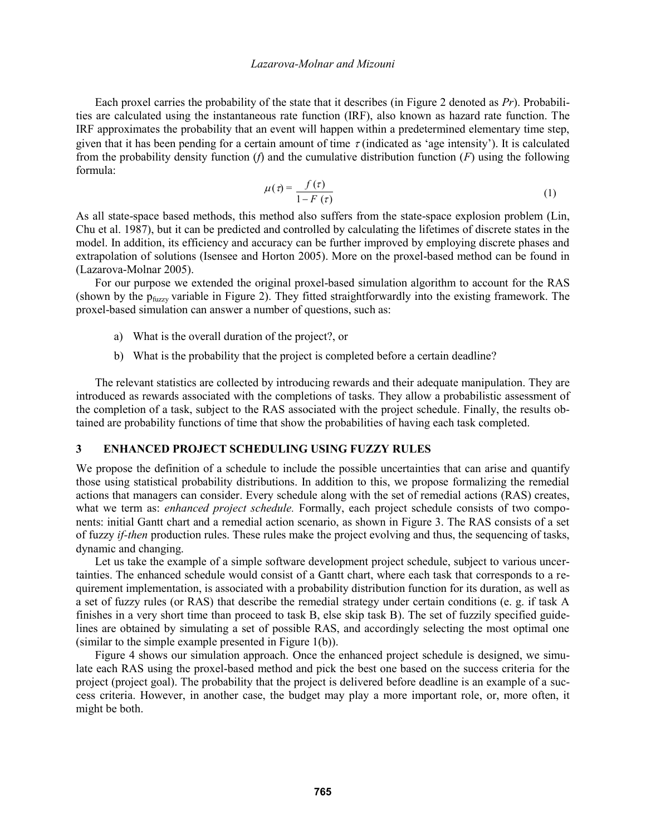Each proxel carries the probability of the state that it describes (in Figure 2 denoted as *Pr*). Probabilities are calculated using the instantaneous rate function (IRF), also known as hazard rate function. The IRF approximates the probability that an event will happen within a predetermined elementary time step, given that it has been pending for a certain amount of time  $\tau$  (indicated as 'age intensity'). It is calculated from the probability density function (*f*) and the cumulative distribution function (*F*) using the following formula:

$$
\mu(\tau) = \frac{f(\tau)}{1 - F(\tau)}\tag{1}
$$

As all state-space based methods, this method also suffers from the state-space explosion problem (Lin, Chu et al. 1987), but it can be predicted and controlled by calculating the lifetimes of discrete states in the model. In addition, its efficiency and accuracy can be further improved by employing discrete phases and extrapolation of solutions (Isensee and Horton 2005). More on the proxel-based method can be found in (Lazarova-Molnar 2005).

For our purpose we extended the original proxel-based simulation algorithm to account for the RAS (shown by the  $p_{fuzzy}$  variable in Figure 2). They fitted straightforwardly into the existing framework. The proxel-based simulation can answer a number of questions, such as:

- a) What is the overall duration of the project?, or
- b) What is the probability that the project is completed before a certain deadline?

The relevant statistics are collected by introducing rewards and their adequate manipulation. They are introduced as rewards associated with the completions of tasks. They allow a probabilistic assessment of the completion of a task, subject to the RAS associated with the project schedule. Finally, the results obtained are probability functions of time that show the probabilities of having each task completed.

#### **3 ENHANCED PROJECT SCHEDULING USING FUZZY RULES**

We propose the definition of a schedule to include the possible uncertainties that can arise and quantify those using statistical probability distributions. In addition to this, we propose formalizing the remedial actions that managers can consider. Every schedule along with the set of remedial actions (RAS) creates, what we term as: *enhanced project schedule*. Formally, each project schedule consists of two components: initial Gantt chart and a remedial action scenario, as shown in Figure 3. The RAS consists of a set of fuzzy *if-then* production rules. These rules make the project evolving and thus, the sequencing of tasks, dynamic and changing.

Let us take the example of a simple software development project schedule, subject to various uncertainties. The enhanced schedule would consist of a Gantt chart, where each task that corresponds to a requirement implementation, is associated with a probability distribution function for its duration, as well as a set of fuzzy rules (or RAS) that describe the remedial strategy under certain conditions (e. g. if task A finishes in a very short time than proceed to task B, else skip task B). The set of fuzzily specified guidelines are obtained by simulating a set of possible RAS, and accordingly selecting the most optimal one (similar to the simple example presented in Figure 1(b)).

Figure 4 shows our simulation approach. Once the enhanced project schedule is designed, we simulate each RAS using the proxel-based method and pick the best one based on the success criteria for the project (project goal). The probability that the project is delivered before deadline is an example of a success criteria. However, in another case, the budget may play a more important role, or, more often, it might be both.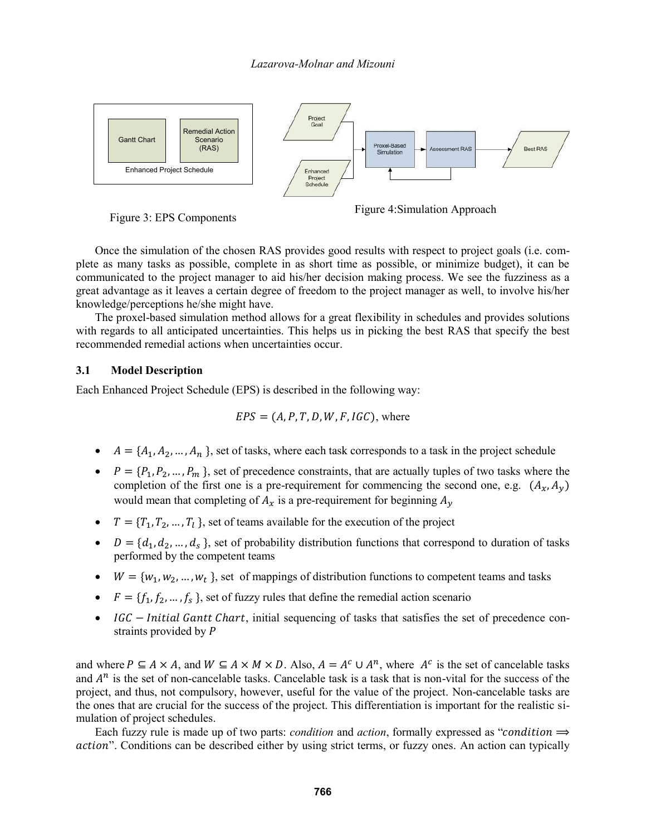

Figure 3: EPS Components

Figure 4:Simulation Approach

Once the simulation of the chosen RAS provides good results with respect to project goals (i.e. complete as many tasks as possible, complete in as short time as possible, or minimize budget), it can be communicated to the project manager to aid his/her decision making process. We see the fuzziness as a great advantage as it leaves a certain degree of freedom to the project manager as well, to involve his/her knowledge/perceptions he/she might have.

The proxel-based simulation method allows for a great flexibility in schedules and provides solutions with regards to all anticipated uncertainties. This helps us in picking the best RAS that specify the best recommended remedial actions when uncertainties occur.

# **3.1 Model Description**

Each Enhanced Project Schedule (EPS) is described in the following way:

$$
EPS = (A, P, T, D, W, F, IGC),
$$
 where

- $A = \{A_1, A_2, ..., A_n\}$ , set of tasks, where each task corresponds to a task in the project schedule
- $P = \{P_1, P_2, ..., P_m\}$ , set of precedence constraints, that are actually tuples of two tasks where the completion of the first one is a pre-requirement for commencing the second one, e.g.  $(A_x, A_y)$ would mean that completing of  $A_x$  is a pre-requirement for beginning  $A_y$
- $T = \{T_1, T_2, ..., T_l\}$ , set of teams available for the execution of the project
- $\bullet$   $D = \{d_1, d_2, ..., d_s\}$ , set of probability distribution functions that correspond to duration of tasks performed by the competent teams
- $\bullet$   $W = \{w_1, w_2, ..., w_t\}$ , set of mappings of distribution functions to competent teams and tasks
- $\bullet$   $F = \{f_1, f_2, ..., f_s\}$ , set of fuzzy rules that define the remedial action scenario
- $\bullet$  IGC Initial Gantt Chart, initial sequencing of tasks that satisfies the set of precedence constraints provided by P

and where  $P \subseteq A \times A$ , and  $W \subseteq A \times M \times D$ . Also,  $A = A^c \cup A^n$ , where  $A^c$  is the set of cancelable tasks and  $A<sup>n</sup>$  is the set of non-cancelable tasks. Cancelable task is a task that is non-vital for the success of the project, and thus, not compulsory, however, useful for the value of the project. Non-cancelable tasks are the ones that are crucial for the success of the project. This differentiation is important for the realistic simulation of project schedules.

Each fuzzy rule is made up of two parts: *condition* and *action*, formally expressed as "*condition*  $\Rightarrow$ action". Conditions can be described either by using strict terms, or fuzzy ones. An action can typically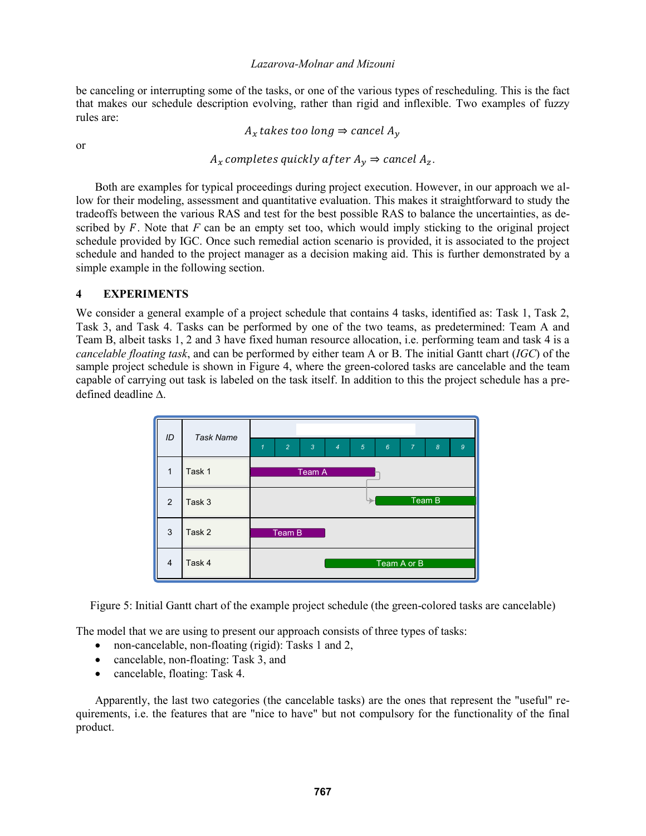be canceling or interrupting some of the tasks, or one of the various types of rescheduling. This is the fact that makes our schedule description evolving, rather than rigid and inflexible. Two examples of fuzzy rules are:

 $A_x$  takes too long  $\Rightarrow$  cancel  $A_y$ 

or

## $A_x$  completes quickly after  $A_y \Rightarrow$  cancel  $A_z$ .

Both are examples for typical proceedings during project execution. However, in our approach we allow for their modeling, assessment and quantitative evaluation. This makes it straightforward to study the tradeoffs between the various RAS and test for the best possible RAS to balance the uncertainties, as described by  $F$ . Note that  $F$  can be an empty set too, which would imply sticking to the original project schedule provided by IGC. Once such remedial action scenario is provided, it is associated to the project schedule and handed to the project manager as a decision making aid. This is further demonstrated by a simple example in the following section.

### **4 EXPERIMENTS**

We consider a general example of a project schedule that contains 4 tasks, identified as: Task 1, Task 2, Task 3, and Task 4. Tasks can be performed by one of the two teams, as predetermined: Team A and Team B, albeit tasks 1, 2 and 3 have fixed human resource allocation, i.e. performing team and task 4 is a *cancelable floating task*, and can be performed by either team A or B. The initial Gantt chart (*IGC*) of the sample project schedule is shown in Figure 4, where the green-colored tasks are cancelable and the team capable of carrying out task is labeled on the task itself. In addition to this the project schedule has a predefined deadline  $\Lambda$ 



Figure 5: Initial Gantt chart of the example project schedule (the green-colored tasks are cancelable)

The model that we are using to present our approach consists of three types of tasks:

- non-cancelable, non-floating (rigid): Tasks 1 and 2,
- cancelable, non-floating: Task 3, and
- cancelable, floating: Task 4.

Apparently, the last two categories (the cancelable tasks) are the ones that represent the "useful" requirements, i.e. the features that are "nice to have" but not compulsory for the functionality of the final product.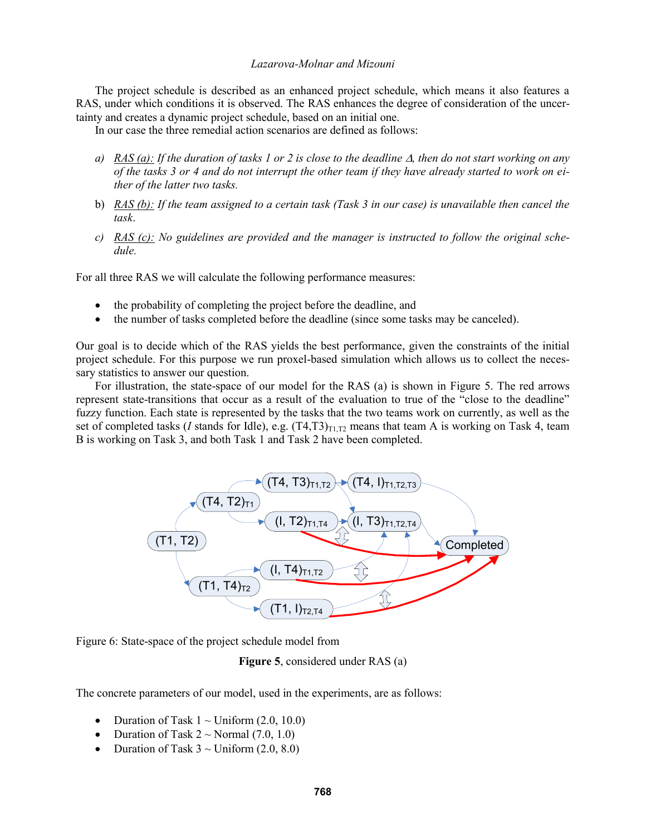The project schedule is described as an enhanced project schedule, which means it also features a RAS, under which conditions it is observed. The RAS enhances the degree of consideration of the uncertainty and creates a dynamic project schedule, based on an initial one.

In our case the three remedial action scenarios are defined as follows:

- *a*) *RAS (a): If the duration of tasks 1 or 2 is close to the deadline*  $\Delta$ *, then do not start working on any of the tasks 3 or 4 and do not interrupt the other team if they have already started to work on either of the latter two tasks.*
- b) *RAS (b): If the team assigned to a certain task (Task 3 in our case) is unavailable then cancel the task*.
- *c) RAS (c): No guidelines are provided and the manager is instructed to follow the original schedule.*

For all three RAS we will calculate the following performance measures:

- the probability of completing the project before the deadline, and
- the number of tasks completed before the deadline (since some tasks may be canceled).

Our goal is to decide which of the RAS yields the best performance, given the constraints of the initial project schedule. For this purpose we run proxel-based simulation which allows us to collect the necessary statistics to answer our question.

For illustration, the state-space of our model for the RAS (a) is shown in Figure 5. The red arrows represent state-transitions that occur as a result of the evaluation to true of the "close to the deadline" fuzzy function. Each state is represented by the tasks that the two teams work on currently, as well as the set of completed tasks (*I* stands for Idle), e.g.  $(T4, T3)_{T1,T2}$  means that team A is working on Task 4, team B is working on Task 3, and both Task 1 and Task 2 have been completed.



Figure 6: State-space of the project schedule model from

**Figure 5**, considered under RAS (a)

The concrete parameters of our model, used in the experiments, are as follows:

- Duration of Task  $1 \sim$  Uniform (2.0, 10.0)
- Duration of Task  $2 \sim \text{Normal}(7.0, 1.0)$
- Duration of Task  $3 \sim$  Uniform (2.0, 8.0)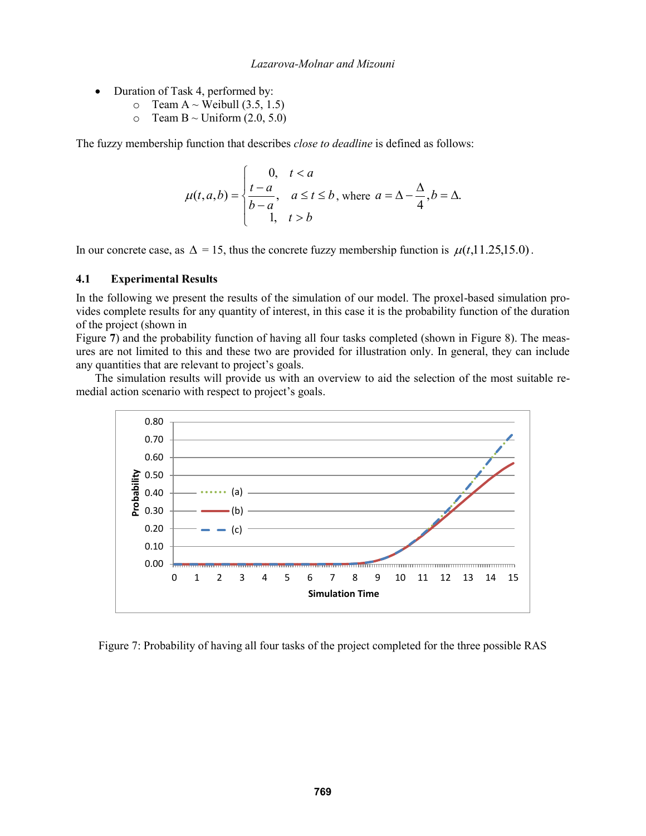- Duration of Task 4, performed by:
	- $\circ$  Team A ~ Weibull (3.5, 1.5)
	- $\circ$  Team B ~ Uniform (2.0, 5.0)

The fuzzy membership function that describes *close to deadline* is defined as follows:

$$
\mu(t, a, b) = \begin{cases}\n0, & t < a \\
\frac{t - a}{b - a}, & a \le t \le b, \text{ where } a = \Delta - \frac{\Delta}{4}, b = \Delta. \\
1, & t > b\n\end{cases}
$$

In our concrete case, as  $\Delta = 15$ , thus the concrete fuzzy membership function is  $\mu(t, 11.25, 15.0)$ .

# **4.1 Experimental Results**

In the following we present the results of the simulation of our model. The proxel-based simulation provides complete results for any quantity of interest, in this case it is the probability function of the duration of the project (shown in

Figure 7) and the probability function of having all four tasks completed (shown in Figure 8). The measures are not limited to this and these two are provided for illustration only. In general, they can include any quantities that are relevant to project's goals.

The simulation results will provide us with an overview to aid the selection of the most suitable remedial action scenario with respect to project's goals.



Figure 7: Probability of having all four tasks of the project completed for the three possible RAS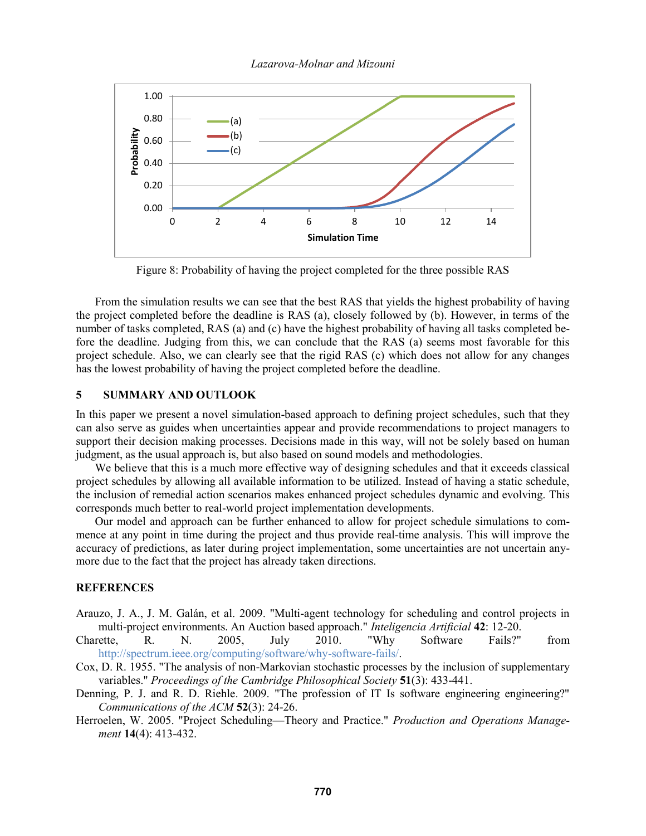

Figure 8: Probability of having the project completed for the three possible RAS

From the simulation results we can see that the best RAS that yields the highest probability of having the project completed before the deadline is RAS (a), closely followed by (b). However, in terms of the number of tasks completed, RAS (a) and (c) have the highest probability of having all tasks completed before the deadline. Judging from this, we can conclude that the RAS (a) seems most favorable for this project schedule. Also, we can clearly see that the rigid RAS (c) which does not allow for any changes has the lowest probability of having the project completed before the deadline.

# **5 SUMMARY AND OUTLOOK**

In this paper we present a novel simulation-based approach to defining project schedules, such that they can also serve as guides when uncertainties appear and provide recommendations to project managers to support their decision making processes. Decisions made in this way, will not be solely based on human judgment, as the usual approach is, but also based on sound models and methodologies.

We believe that this is a much more effective way of designing schedules and that it exceeds classical project schedules by allowing all available information to be utilized. Instead of having a static schedule, the inclusion of remedial action scenarios makes enhanced project schedules dynamic and evolving. This corresponds much better to real-world project implementation developments.

Our model and approach can be further enhanced to allow for project schedule simulations to commence at any point in time during the project and thus provide real-time analysis. This will improve the accuracy of predictions, as later during project implementation, some uncertainties are not uncertain anymore due to the fact that the project has already taken directions.

## **REFERENCES**

- Arauzo, J. A., J. M. Galán, et al. 2009. "Multi-agent technology for scheduling and control projects in multi-project environments. An Auction based approach." *Inteligencia Artificial* **42**: 12-20.
- Charette, R. N. 2005, July 2010. "Why Software Fails?" from http://spectrum.ieee.org/computing/software/why-software-fails/.
- Cox, D. R. 1955. "The analysis of non-Markovian stochastic processes by the inclusion of supplementary variables." *Proceedings of the Cambridge Philosophical Society* **51**(3): 433-441.
- Denning, P. J. and R. D. Riehle. 2009. "The profession of IT Is software engineering engineering?" *Communications of the ACM* **52**(3): 24-26.
- Herroelen, W. 2005. "Project Scheduling—Theory and Practice." *Production and Operations Management* **14**(4): 413-432.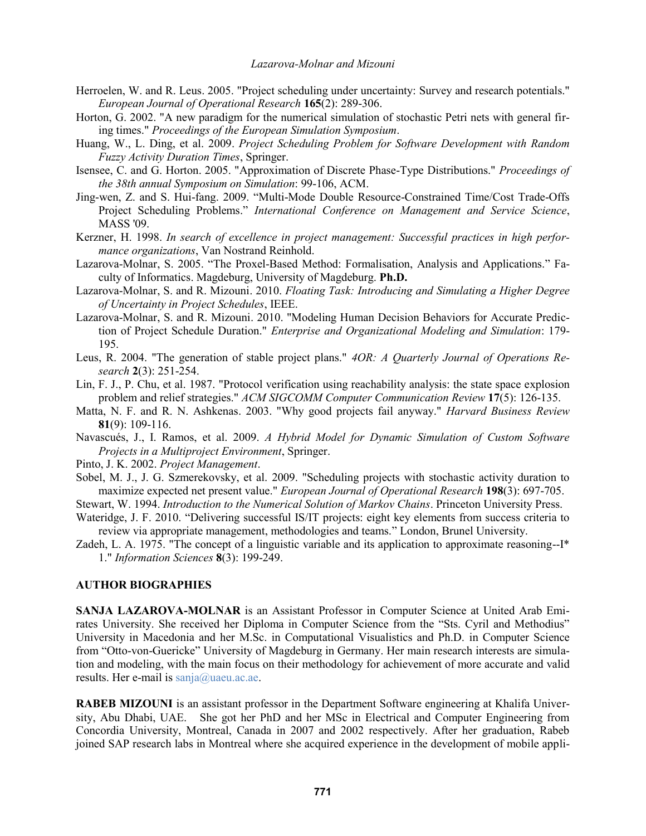- Herroelen, W. and R. Leus. 2005. "Project scheduling under uncertainty: Survey and research potentials." *European Journal of Operational Research* **165**(2): 289-306.
- Horton, G. 2002. "A new paradigm for the numerical simulation of stochastic Petri nets with general firing times." *Proceedings of the European Simulation Symposium*.
- Huang, W., L. Ding, et al. 2009. *Project Scheduling Problem for Software Development with Random Fuzzy Activity Duration Times*, Springer.
- Isensee, C. and G. Horton. 2005. "Approximation of Discrete Phase-Type Distributions." *Proceedings of the 38th annual Symposium on Simulation*: 99-106, ACM.
- Jing-wen, Z. and S. Hui-fang. 2009. "Multi-Mode Double Resource-Constrained Time/Cost Trade-Offs Project Scheduling Problems." *International Conference on Management and Service Science*, MASS '09.
- Kerzner, H. 1998. *In search of excellence in project management: Successful practices in high performance organizations*, Van Nostrand Reinhold.
- Lazarova-Molnar, S. 2005. "The Proxel-Based Method: Formalisation, Analysis and Applications." Faculty of Informatics. Magdeburg, University of Magdeburg. **Ph.D.**
- Lazarova-Molnar, S. and R. Mizouni. 2010. *Floating Task: Introducing and Simulating a Higher Degree of Uncertainty in Project Schedules*, IEEE.
- Lazarova-Molnar, S. and R. Mizouni. 2010. "Modeling Human Decision Behaviors for Accurate Prediction of Project Schedule Duration." *Enterprise and Organizational Modeling and Simulation*: 179- 195.
- Leus, R. 2004. "The generation of stable project plans." *4OR: A Quarterly Journal of Operations Research* **2**(3): 251-254.
- Lin, F. J., P. Chu, et al. 1987. "Protocol verification using reachability analysis: the state space explosion problem and relief strategies." *ACM SIGCOMM Computer Communication Review* **17**(5): 126-135.
- Matta, N. F. and R. N. Ashkenas. 2003. "Why good projects fail anyway." *Harvard Business Review* **81**(9): 109-116.
- Navascués, J., I. Ramos, et al. 2009. *A Hybrid Model for Dynamic Simulation of Custom Software Projects in a Multiproject Environment*, Springer.
- Pinto, J. K. 2002. *Project Management*.
- Sobel, M. J., J. G. Szmerekovsky, et al. 2009. "Scheduling projects with stochastic activity duration to maximize expected net present value." *European Journal of Operational Research* **198**(3): 697-705.
- Stewart, W. 1994. *Introduction to the Numerical Solution of Markov Chains*. Princeton University Press.
- Wateridge, J. F. 2010. "Delivering successful IS/IT projects: eight key elements from success criteria to review via appropriate management, methodologies and teams." London, Brunel University.
- Zadeh, L. A. 1975. "The concept of a linguistic variable and its application to approximate reasoning--I\* 1." *Information Sciences* **8**(3): 199-249.

#### **AUTHOR BIOGRAPHIES**

**SANJA LAZAROVA-MOLNAR** is an Assistant Professor in Computer Science at United Arab Emirates University. She received her Diploma in Computer Science from the "Sts. Cyril and Methodius" University in Macedonia and her M.Sc. in Computational Visualistics and Ph.D. in Computer Science from "Otto-von-Guericke" University of Magdeburg in Germany. Her main research interests are simulation and modeling, with the main focus on their methodology for achievement of more accurate and valid results. Her e-mail is sanja@uaeu.ac.ae.

**RABEB MIZOUNI** is an assistant professor in the Department Software engineering at Khalifa University, Abu Dhabi, UAE. She got her PhD and her MSc in Electrical and Computer Engineering from Concordia University, Montreal, Canada in 2007 and 2002 respectively. After her graduation, Rabeb joined SAP research labs in Montreal where she acquired experience in the development of mobile appli-